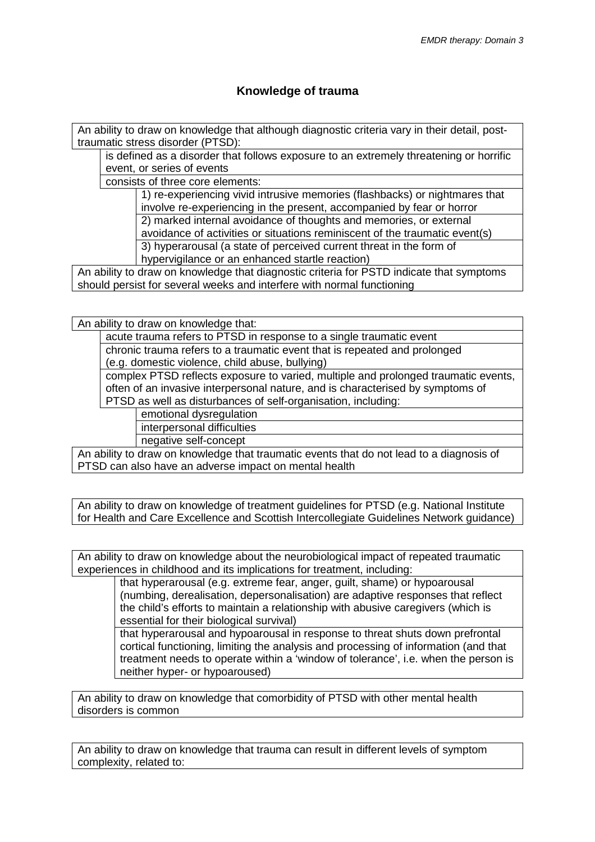## **Knowledge of trauma**

An ability to draw on knowledge that although diagnostic criteria vary in their detail, posttraumatic stress disorder (PTSD):

is defined as a disorder that follows exposure to an extremely threatening or horrific event, or series of events

consists of three core elements:

1) re-experiencing vivid intrusive memories (flashbacks) or nightmares that involve re-experiencing in the present, accompanied by fear or horror 2) marked internal avoidance of thoughts and memories, or external avoidance of activities or situations reminiscent of the traumatic event(s)

3) hyperarousal (a state of perceived current threat in the form of hypervigilance or an enhanced startle reaction)

An ability to draw on knowledge that diagnostic criteria for PSTD indicate that symptoms should persist for several weeks and interfere with normal functioning

An ability to draw on knowledge that:

acute trauma refers to PTSD in response to a single traumatic event

chronic trauma refers to a traumatic event that is repeated and prolonged

(e.g. domestic violence, child abuse, bullying)

complex PTSD reflects exposure to varied, multiple and prolonged traumatic events, often of an invasive interpersonal nature, and is characterised by symptoms of PTSD as well as disturbances of self-organisation, including:

emotional dysregulation

interpersonal difficulties

negative self-concept

An ability to draw on knowledge that traumatic events that do not lead to a diagnosis of PTSD can also have an adverse impact on mental health

An ability to draw on knowledge of treatment guidelines for PTSD (e.g. National Institute for Health and Care Excellence and Scottish Intercollegiate Guidelines Network guidance)

An ability to draw on knowledge about the neurobiological impact of repeated traumatic experiences in childhood and its implications for treatment, including:

> that hyperarousal (e.g. extreme fear, anger, guilt, shame) or hypoarousal (numbing, derealisation, depersonalisation) are adaptive responses that reflect the child's efforts to maintain a relationship with abusive caregivers (which is essential for their biological survival)

that hyperarousal and hypoarousal in response to threat shuts down prefrontal cortical functioning, limiting the analysis and processing of information (and that treatment needs to operate within a 'window of tolerance', i.e. when the person is neither hyper- or hypoaroused)

An ability to draw on knowledge that comorbidity of PTSD with other mental health disorders is common

An ability to draw on knowledge that trauma can result in different levels of symptom complexity, related to: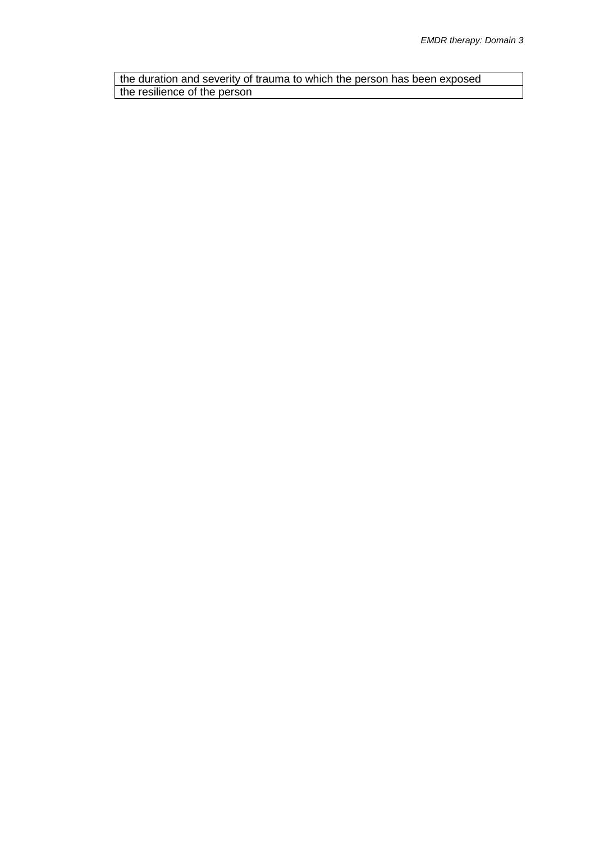the duration and severity of trauma to which the person has been exposed the resilience of the person